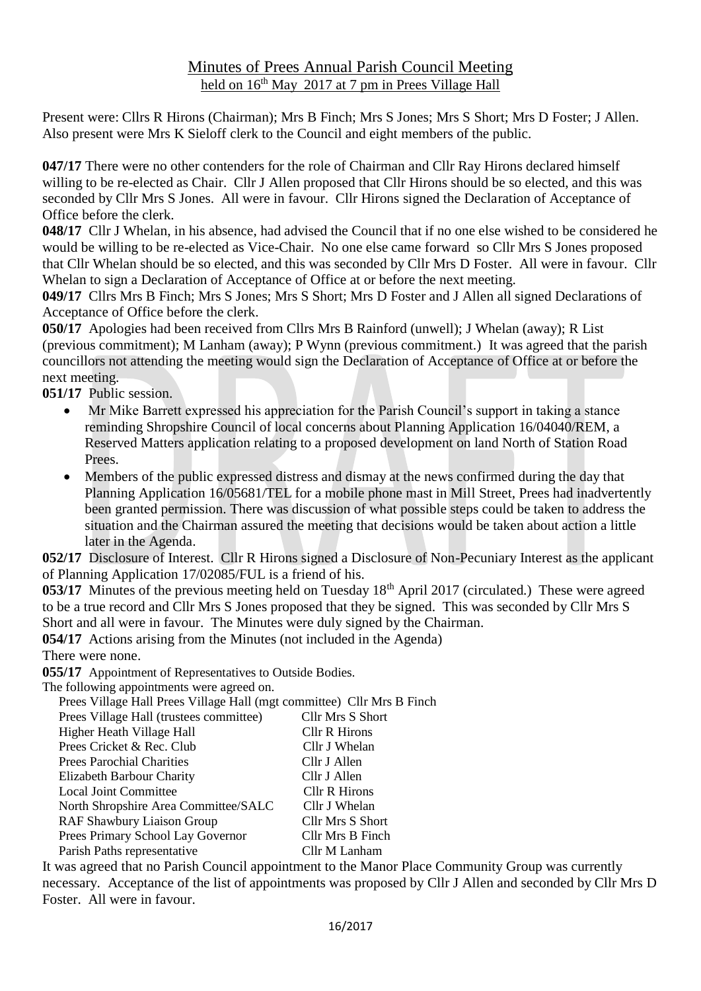## Minutes of Prees Annual Parish Council Meeting held on  $16<sup>th</sup>$  May 2017 at 7 pm in Prees Village Hall

Present were: Cllrs R Hirons (Chairman); Mrs B Finch; Mrs S Jones; Mrs S Short; Mrs D Foster; J Allen. Also present were Mrs K Sieloff clerk to the Council and eight members of the public.

**047/17** There were no other contenders for the role of Chairman and Cllr Ray Hirons declared himself willing to be re-elected as Chair. Cllr J Allen proposed that Cllr Hirons should be so elected, and this was seconded by Cllr Mrs S Jones. All were in favour. Cllr Hirons signed the Declaration of Acceptance of Office before the clerk.

**048/17** Cllr J Whelan, in his absence, had advised the Council that if no one else wished to be considered he would be willing to be re-elected as Vice-Chair. No one else came forward so Cllr Mrs S Jones proposed that Cllr Whelan should be so elected, and this was seconded by Cllr Mrs D Foster. All were in favour. Cllr Whelan to sign a Declaration of Acceptance of Office at or before the next meeting.

**049/17** Cllrs Mrs B Finch; Mrs S Jones; Mrs S Short; Mrs D Foster and J Allen all signed Declarations of Acceptance of Office before the clerk.

**050/17** Apologies had been received from Cllrs Mrs B Rainford (unwell); J Whelan (away); R List (previous commitment); M Lanham (away); P Wynn (previous commitment.) It was agreed that the parish councillors not attending the meeting would sign the Declaration of Acceptance of Office at or before the next meeting.

**051/17** Public session.

- Mr Mike Barrett expressed his appreciation for the Parish Council's support in taking a stance reminding Shropshire Council of local concerns about Planning Application 16/04040/REM, a Reserved Matters application relating to a proposed development on land North of Station Road Prees.
- Members of the public expressed distress and dismay at the news confirmed during the day that Planning Application 16/05681/TEL for a mobile phone mast in Mill Street, Prees had inadvertently been granted permission. There was discussion of what possible steps could be taken to address the situation and the Chairman assured the meeting that decisions would be taken about action a little later in the Agenda.

**052/17** Disclosure of Interest. Cllr R Hirons signed a Disclosure of Non-Pecuniary Interest as the applicant of Planning Application 17/02085/FUL is a friend of his.

**053/17** Minutes of the previous meeting held on Tuesday 18<sup>th</sup> April 2017 (circulated.) These were agreed to be a true record and Cllr Mrs S Jones proposed that they be signed. This was seconded by Cllr Mrs S Short and all were in favour. The Minutes were duly signed by the Chairman.

**054/17** Actions arising from the Minutes (not included in the Agenda)

There were none.

**055/17** Appointment of Representatives to Outside Bodies.

The following appointments were agreed on.

Prees Village Hall Prees Village Hall (mgt committee) Cllr Mrs B Finch

| Prees Village Hall (trustees committee) | <b>Cllr Mrs S Short</b> |
|-----------------------------------------|-------------------------|
| Higher Heath Village Hall               | Cllr R Hirons           |
| Prees Cricket & Rec. Club               | Cllr J Whelan           |
| <b>Prees Parochial Charities</b>        | Cllr J Allen            |
| Elizabeth Barbour Charity               | Cllr J Allen            |
| <b>Local Joint Committee</b>            | Cllr R Hirons           |
| North Shropshire Area Committee/SALC    | Cllr J Whelan           |
| RAF Shawbury Liaison Group              | Cllr Mrs S Short        |
| Prees Primary School Lay Governor       | Cllr Mrs B Finch        |
| Parish Paths representative             | Cllr M Lanham           |

It was agreed that no Parish Council appointment to the Manor Place Community Group was currently necessary. Acceptance of the list of appointments was proposed by Cllr J Allen and seconded by Cllr Mrs D Foster. All were in favour.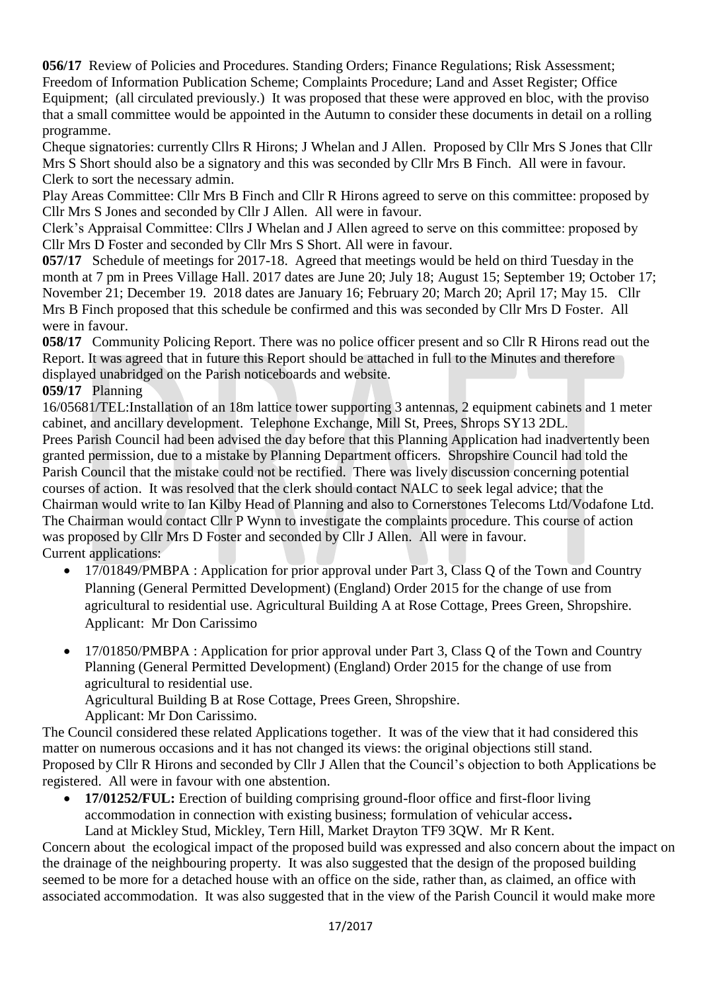**056/17** Review of Policies and Procedures. Standing Orders; Finance Regulations; Risk Assessment; Freedom of Information Publication Scheme; Complaints Procedure; Land and Asset Register; Office Equipment; (all circulated previously.) It was proposed that these were approved en bloc, with the proviso that a small committee would be appointed in the Autumn to consider these documents in detail on a rolling programme.

Cheque signatories: currently Cllrs R Hirons; J Whelan and J Allen. Proposed by Cllr Mrs S Jones that Cllr Mrs S Short should also be a signatory and this was seconded by Cllr Mrs B Finch. All were in favour. Clerk to sort the necessary admin.

Play Areas Committee: Cllr Mrs B Finch and Cllr R Hirons agreed to serve on this committee: proposed by Cllr Mrs S Jones and seconded by Cllr J Allen. All were in favour.

Clerk's Appraisal Committee: Cllrs J Whelan and J Allen agreed to serve on this committee: proposed by Cllr Mrs D Foster and seconded by Cllr Mrs S Short. All were in favour.

**057/17** Schedule of meetings for 2017-18. Agreed that meetings would be held on third Tuesday in the month at 7 pm in Prees Village Hall. 2017 dates are June 20; July 18; August 15; September 19; October 17; November 21; December 19. 2018 dates are January 16; February 20; March 20; April 17; May 15. Cllr Mrs B Finch proposed that this schedule be confirmed and this was seconded by Cllr Mrs D Foster. All were in favour.

**058/17** Community Policing Report. There was no police officer present and so Cllr R Hirons read out the Report. It was agreed that in future this Report should be attached in full to the Minutes and therefore displayed unabridged on the Parish noticeboards and website.

## **059/17** Planning

16/05681/TEL:Installation of an 18m lattice tower supporting 3 antennas, 2 equipment cabinets and 1 meter cabinet, and ancillary development. Telephone Exchange, Mill St, Prees, Shrops SY13 2DL. Prees Parish Council had been advised the day before that this Planning Application had inadvertently been

granted permission, due to a mistake by Planning Department officers. Shropshire Council had told the Parish Council that the mistake could not be rectified. There was lively discussion concerning potential courses of action. It was resolved that the clerk should contact NALC to seek legal advice; that the Chairman would write to Ian Kilby Head of Planning and also to Cornerstones Telecoms Ltd/Vodafone Ltd. The Chairman would contact Cllr P Wynn to investigate the complaints procedure. This course of action was proposed by Cllr Mrs D Foster and seconded by Cllr J Allen. All were in favour. Current applications:

- 17/01849/PMBPA : Application for prior approval under Part 3, Class Q of the Town and Country Planning (General Permitted Development) (England) Order 2015 for the change of use from agricultural to residential use. Agricultural Building A at Rose Cottage, Prees Green, Shropshire. Applicant: Mr Don Carissimo
- 17/01850/PMBPA : Application for prior approval under Part 3, Class Q of the Town and Country Planning (General Permitted Development) (England) Order 2015 for the change of use from agricultural to residential use.

Agricultural Building B at Rose Cottage, Prees Green, Shropshire.

Applicant: Mr Don Carissimo.

The Council considered these related Applications together. It was of the view that it had considered this matter on numerous occasions and it has not changed its views: the original objections still stand. Proposed by Cllr R Hirons and seconded by Cllr J Allen that the Council's objection to both Applications be registered. All were in favour with one abstention.

• **17/01252/FUL:** Erection of building comprising ground-floor office and first-floor living accommodation in connection with existing business; formulation of vehicular access**.**  Land at Mickley Stud, Mickley, Tern Hill, Market Drayton TF9 3QW. Mr R Kent.

Concern about the ecological impact of the proposed build was expressed and also concern about the impact on the drainage of the neighbouring property. It was also suggested that the design of the proposed building seemed to be more for a detached house with an office on the side, rather than, as claimed, an office with associated accommodation. It was also suggested that in the view of the Parish Council it would make more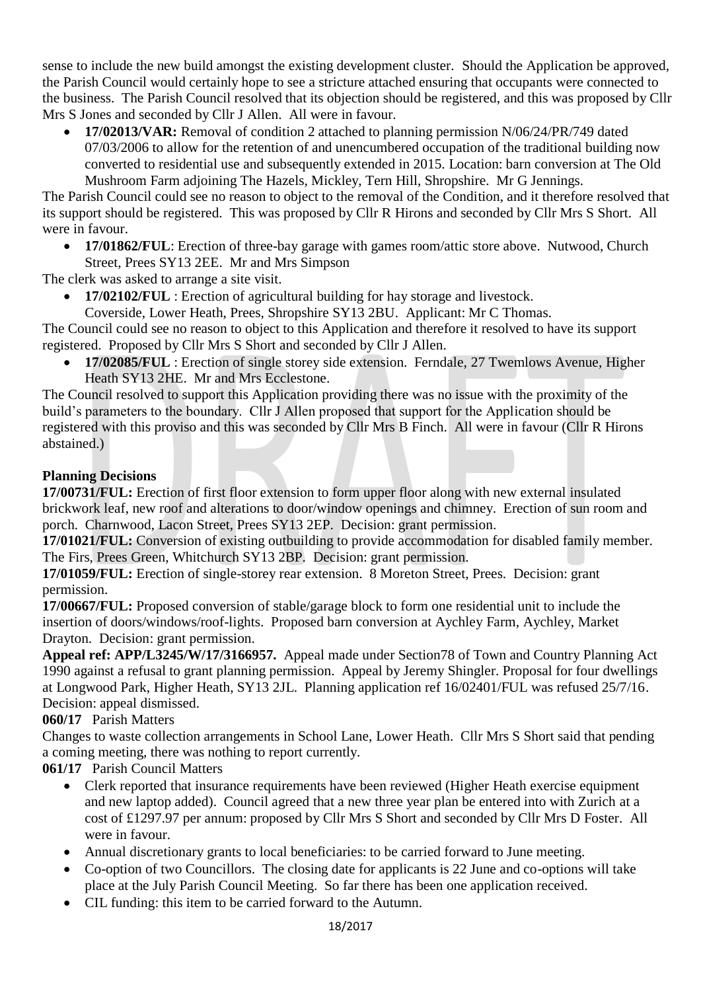sense to include the new build amongst the existing development cluster. Should the Application be approved, the Parish Council would certainly hope to see a stricture attached ensuring that occupants were connected to the business. The Parish Council resolved that its objection should be registered, and this was proposed by Cllr Mrs S Jones and seconded by Cllr J Allen. All were in favour.

• **17/02013/VAR:** Removal of condition 2 attached to planning permission N/06/24/PR/749 dated 07/03/2006 to allow for the retention of and unencumbered occupation of the traditional building now converted to residential use and subsequently extended in 2015. Location: barn conversion at The Old Mushroom Farm adjoining The Hazels, Mickley, Tern Hill, Shropshire. Mr G Jennings.

The Parish Council could see no reason to object to the removal of the Condition, and it therefore resolved that its support should be registered. This was proposed by Cllr R Hirons and seconded by Cllr Mrs S Short. All were in favour.

• **17/01862/FUL**: Erection of three-bay garage with games room/attic store above. Nutwood, Church Street, Prees SY13 2EE. Mr and Mrs Simpson

The clerk was asked to arrange a site visit.

• **17/02102/FUL** : Erection of agricultural building for hay storage and livestock.

Coverside, Lower Heath, Prees, Shropshire SY13 2BU. Applicant: Mr C Thomas.

The Council could see no reason to object to this Application and therefore it resolved to have its support registered. Proposed by Cllr Mrs S Short and seconded by Cllr J Allen.

• **17/02085/FUL** : Erection of single storey side extension. Ferndale, 27 Twemlows Avenue, Higher Heath SY13 2HE. Mr and Mrs Ecclestone.

The Council resolved to support this Application providing there was no issue with the proximity of the build's parameters to the boundary. Cllr J Allen proposed that support for the Application should be registered with this proviso and this was seconded by Cllr Mrs B Finch. All were in favour (Cllr R Hirons abstained.)

# **Planning Decisions**

**17/00731/FUL:** Erection of first floor extension to form upper floor along with new external insulated brickwork leaf, new roof and alterations to door/window openings and chimney. Erection of sun room and porch. Charnwood, Lacon Street, Prees SY13 2EP. Decision: grant permission.

**17/01021/FUL:** Conversion of existing outbuilding to provide accommodation for disabled family member. The Firs, Prees Green, Whitchurch SY13 2BP. Decision: grant permission.

**17/01059/FUL:** Erection of single-storey rear extension. 8 Moreton Street, Prees. Decision: grant permission.

**17/00667/FUL:** Proposed conversion of stable/garage block to form one residential unit to include the insertion of doors/windows/roof-lights. Proposed barn conversion at Aychley Farm, Aychley, Market Drayton. Decision: grant permission.

**Appeal ref: APP/L3245/W/17/3166957.** Appeal made under Section78 of Town and Country Planning Act 1990 against a refusal to grant planning permission. Appeal by Jeremy Shingler. Proposal for four dwellings at Longwood Park, Higher Heath, SY13 2JL. Planning application ref 16/02401/FUL was refused 25/7/16. Decision: appeal dismissed.

# **060/17** Parish Matters

Changes to waste collection arrangements in School Lane, Lower Heath. Cllr Mrs S Short said that pending a coming meeting, there was nothing to report currently.

**061/17** Parish Council Matters

- Clerk reported that insurance requirements have been reviewed (Higher Heath exercise equipment and new laptop added). Council agreed that a new three year plan be entered into with Zurich at a cost of £1297.97 per annum: proposed by Cllr Mrs S Short and seconded by Cllr Mrs D Foster. All were in favour.
- Annual discretionary grants to local beneficiaries: to be carried forward to June meeting.
- Co-option of two Councillors. The closing date for applicants is 22 June and co-options will take place at the July Parish Council Meeting. So far there has been one application received.
- CIL funding: this item to be carried forward to the Autumn.